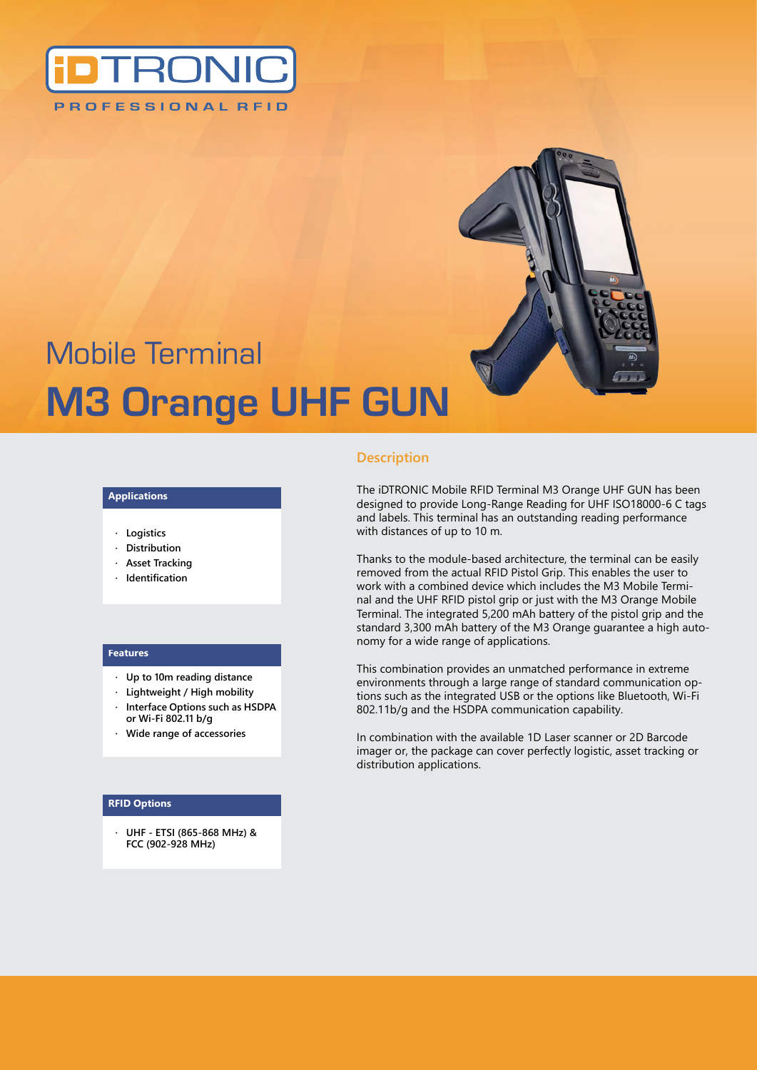



# Mobile Terminal **M3 Orange UHF GUN**

#### **Applications**

- **· Logistics**
- **· Distribution**
- **· Asset Tracking**
- **· Identification**

#### **Features**

- **· Up to 10m reading distance**
- **· Lightweight / High mobility**
- **· Interface Options such as HSDPA**
- **or Wi-Fi 802.11 b/g · Wide range of accessories**

### **RFID Options**

**· UHF - ETSI (865-868 MHz) & FCC (902-928 MHz)**

# **Description**

The iDTRONIC Mobile RFID Terminal M3 Orange UHF GUN has been designed to provide Long-Range Reading for UHF ISO18000-6 C tags and labels. This terminal has an outstanding reading performance with distances of up to 10 m.

Thanks to the module-based architecture, the terminal can be easily removed from the actual RFID Pistol Grip. This enables the user to work with a combined device which includes the M3 Mobile Terminal and the UHF RFID pistol grip or just with the M3 Orange Mobile Terminal. The integrated 5,200 mAh battery of the pistol grip and the standard 3,300 mAh battery of the M3 Orange guarantee a high autonomy for a wide range of applications.

This combination provides an unmatched performance in extreme environments through a large range of standard communication options such as the integrated USB or the options like Bluetooth, Wi-Fi 802.11b/g and the HSDPA communication capability.

In combination with the available 1D Laser scanner or 2D Barcode imager or, the package can cover perfectly logistic, asset tracking or distribution applications.